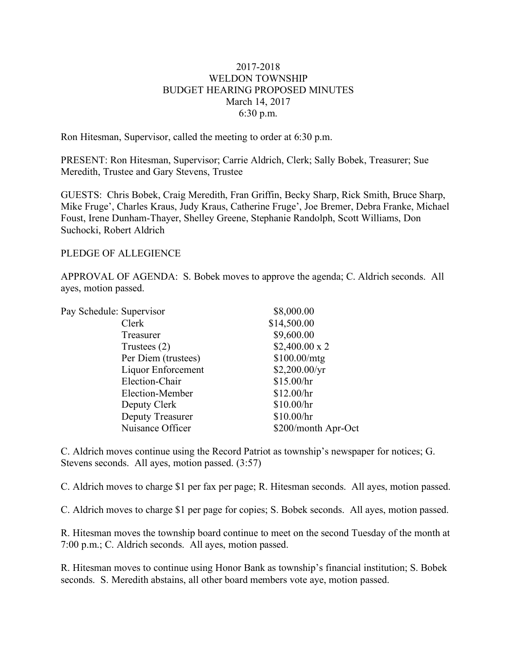## 2017-2018 WELDON TOWNSHIP BUDGET HEARING PROPOSED MINUTES March 14, 2017 6:30 p.m.

Ron Hitesman, Supervisor, called the meeting to order at 6:30 p.m.

PRESENT: Ron Hitesman, Supervisor; Carrie Aldrich, Clerk; Sally Bobek, Treasurer; Sue Meredith, Trustee and Gary Stevens, Trustee

GUESTS: Chris Bobek, Craig Meredith, Fran Griffin, Becky Sharp, Rick Smith, Bruce Sharp, Mike Fruge', Charles Kraus, Judy Kraus, Catherine Fruge', Joe Bremer, Debra Franke, Michael Foust, Irene Dunham-Thayer, Shelley Greene, Stephanie Randolph, Scott Williams, Don Suchocki, Robert Aldrich

## PLEDGE OF ALLEGIENCE

APPROVAL OF AGENDA: S. Bobek moves to approve the agenda; C. Aldrich seconds. All ayes, motion passed.

| Pay Schedule: Supervisor |                     | \$8,000.00           |
|--------------------------|---------------------|----------------------|
|                          | Clerk               | \$14,500.00          |
|                          | Treasurer           | \$9,600.00           |
|                          | Trustees $(2)$      | $$2,400.00 \times 2$ |
|                          | Per Diem (trustees) | \$100.00/mtg         |
|                          | Liquor Enforcement  | \$2,200.00/yr        |
|                          | Election-Chair      | \$15.00/hr           |
|                          | Election-Member     | \$12.00/hr           |
|                          | Deputy Clerk        | \$10.00/hr           |
|                          | Deputy Treasurer    | \$10.00/hr           |
|                          | Nuisance Officer    | \$200/month Apr-Oct  |
|                          |                     |                      |

C. Aldrich moves continue using the Record Patriot as township's newspaper for notices; G. Stevens seconds. All ayes, motion passed. (3:57)

C. Aldrich moves to charge \$1 per fax per page; R. Hitesman seconds. All ayes, motion passed.

C. Aldrich moves to charge \$1 per page for copies; S. Bobek seconds. All ayes, motion passed.

R. Hitesman moves the township board continue to meet on the second Tuesday of the month at 7:00 p.m.; C. Aldrich seconds. All ayes, motion passed.

R. Hitesman moves to continue using Honor Bank as township's financial institution; S. Bobek seconds. S. Meredith abstains, all other board members vote aye, motion passed.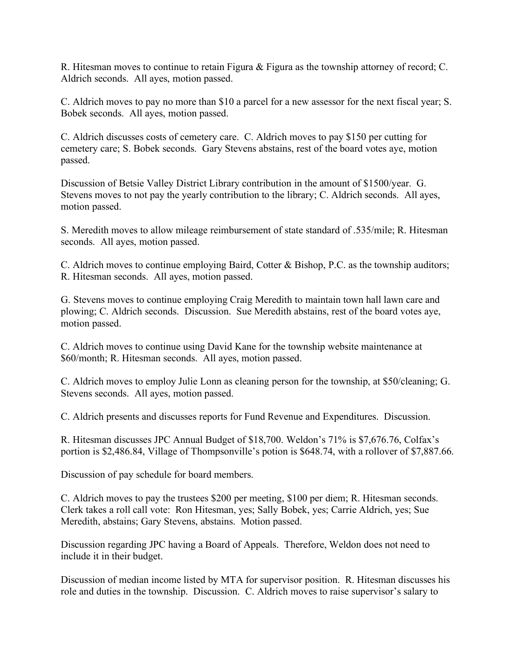R. Hitesman moves to continue to retain Figura & Figura as the township attorney of record; C. Aldrich seconds. All ayes, motion passed.

C. Aldrich moves to pay no more than \$10 a parcel for a new assessor for the next fiscal year; S. Bobek seconds. All ayes, motion passed.

C. Aldrich discusses costs of cemetery care. C. Aldrich moves to pay \$150 per cutting for cemetery care; S. Bobek seconds. Gary Stevens abstains, rest of the board votes aye, motion passed.

Discussion of Betsie Valley District Library contribution in the amount of \$1500/year. G. Stevens moves to not pay the yearly contribution to the library; C. Aldrich seconds. All ayes, motion passed.

S. Meredith moves to allow mileage reimbursement of state standard of .535/mile; R. Hitesman seconds. All ayes, motion passed.

C. Aldrich moves to continue employing Baird, Cotter & Bishop, P.C. as the township auditors; R. Hitesman seconds. All ayes, motion passed.

G. Stevens moves to continue employing Craig Meredith to maintain town hall lawn care and plowing; C. Aldrich seconds. Discussion. Sue Meredith abstains, rest of the board votes aye, motion passed.

C. Aldrich moves to continue using David Kane for the township website maintenance at \$60/month; R. Hitesman seconds. All ayes, motion passed.

C. Aldrich moves to employ Julie Lonn as cleaning person for the township, at \$50/cleaning; G. Stevens seconds. All ayes, motion passed.

C. Aldrich presents and discusses reports for Fund Revenue and Expenditures. Discussion.

R. Hitesman discusses JPC Annual Budget of \$18,700. Weldon's 71% is \$7,676.76, Colfax's portion is \$2,486.84, Village of Thompsonville's potion is \$648.74, with a rollover of \$7,887.66.

Discussion of pay schedule for board members.

C. Aldrich moves to pay the trustees \$200 per meeting, \$100 per diem; R. Hitesman seconds. Clerk takes a roll call vote: Ron Hitesman, yes; Sally Bobek, yes; Carrie Aldrich, yes; Sue Meredith, abstains; Gary Stevens, abstains. Motion passed.

Discussion regarding JPC having a Board of Appeals. Therefore, Weldon does not need to include it in their budget.

Discussion of median income listed by MTA for supervisor position. R. Hitesman discusses his role and duties in the township. Discussion. C. Aldrich moves to raise supervisor's salary to